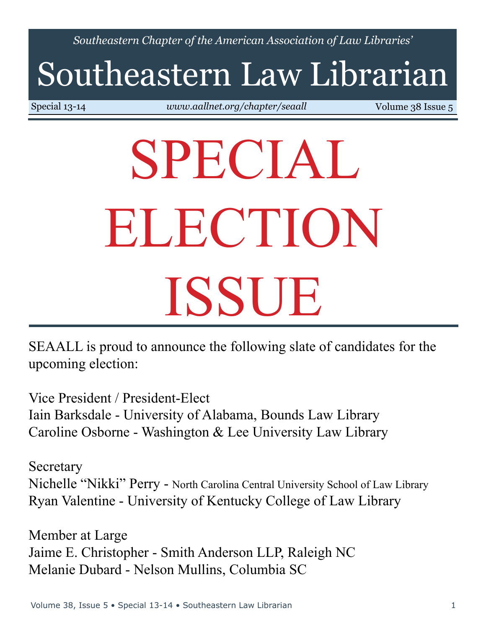*Southeastern Chapter of the American Association of Law Libraries'*

# Southeastern Law Librarian

Special 13-14 *<www.aallnet.org/chapter/seaall>* Volume 38 Issue 5

# SPECIAL ELECTION ISSUE

SEAALL is proud to announce the following slate of candidates for the upcoming election:

Vice President / President-Elect Iain Barksdale - University of Alabama, Bounds Law Library Caroline Osborne - Washington & Lee University Law Library

**Secretary** Nichelle "Nikki" Perry - North Carolina Central University School of Law Library Ryan Valentine - University of Kentucky College of Law Library

Member at Large Jaime E. Christopher - Smith Anderson LLP, Raleigh NC Melanie Dubard - Nelson Mullins, Columbia SC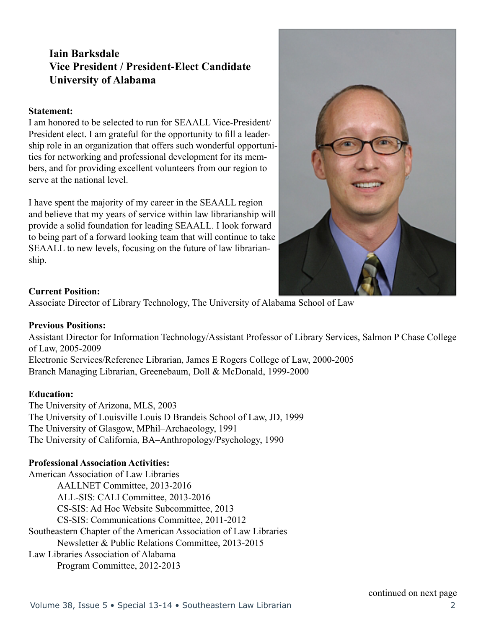# **Iain Barksdale Vice President / President-Elect Candidate University of Alabama**

#### **Statement:**

I am honored to be selected to run for SEAALL Vice-President/ President elect. I am grateful for the opportunity to fill a leadership role in an organization that offers such wonderful opportunities for networking and professional development for its members, and for providing excellent volunteers from our region to serve at the national level.

I have spent the majority of my career in the SEAALL region and believe that my years of service within law librarianship will provide a solid foundation for leading SEAALL. I look forward to being part of a forward looking team that will continue to take SEAALL to new levels, focusing on the future of law librarianship.



#### **Current Position:**

Associate Director of Library Technology, The University of Alabama School of Law

#### **Previous Positions:**

Assistant Director for Information Technology/Assistant Professor of Library Services, Salmon P Chase College of Law, 2005-2009

Electronic Services/Reference Librarian, James E Rogers College of Law, 2000-2005 Branch Managing Librarian, Greenebaum, Doll & McDonald, 1999-2000

#### **Education:**

The University of Arizona, MLS, 2003 The University of Louisville Louis D Brandeis School of Law, JD, 1999 The University of Glasgow, MPhil–Archaeology, 1991 The University of California, BA–Anthropology/Psychology, 1990

#### **Professional Association Activities:**

American Association of Law Libraries AALLNET Committee, 2013-2016 ALL-SIS: CALI Committee, 2013-2016 CS-SIS: Ad Hoc Website Subcommittee, 2013 CS-SIS: Communications Committee, 2011-2012 Southeastern Chapter of the American Association of Law Libraries Newsletter & Public Relations Committee, 2013-2015 Law Libraries Association of Alabama Program Committee, 2012-2013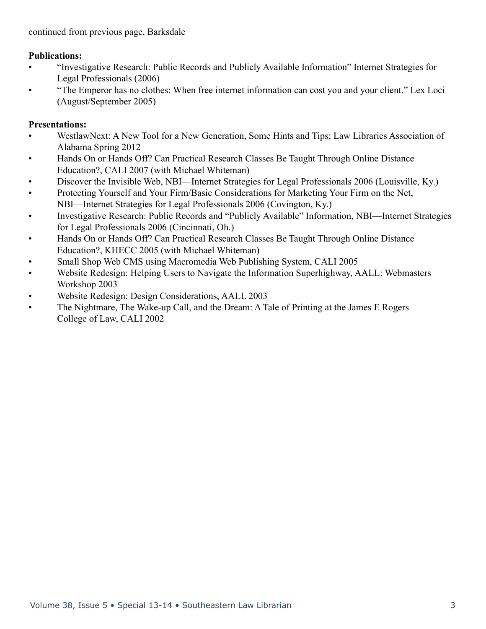#### **Publications:**

- "Investigative Research: Public Records and Publicly Available Information" Internet Strategies for Legal Professionals (2006)
- "The Emperor has no clothes: When free internet information can cost you and your client." Lex Loci (August/September 2005)

### **Presentations:**

- WestlawNext: A New Tool for a New Generation, Some Hints and Tips; Law Libraries Association of Alabama Spring 2012
- Hands On or Hands Off? Can Practical Research Classes Be Taught Through Online Distance Education?, CALI 2007 (with Michael Whiteman)
- Discover the Invisible Web, NBI—Internet Strategies for Legal Professionals 2006 (Louisville, Ky.)
- Protecting Yourself and Your Firm/Basic Considerations for Marketing Your Firm on the Net, NBI—Internet Strategies for Legal Professionals 2006 (Covington, Ky.)
- Investigative Research: Public Records and "Publicly Available" Information, NBI—Internet Strategies for Legal Professionals 2006 (Cincinnati, Oh.)
- Hands On or Hands Off? Can Practical Research Classes Be Taught Through Online Distance Education?, KHECC 2005 (with Michael Whiteman)
- Small Shop Web CMS using Macromedia Web Publishing System, CALI 2005
- Website Redesign: Helping Users to Navigate the Information Superhighway, AALL: Webmasters Workshop 2003
- Website Redesign: Design Considerations, AALL 2003
- The Nightmare, The Wake-up Call, and the Dream: A Tale of Printing at the James E Rogers College of Law, CALI 2002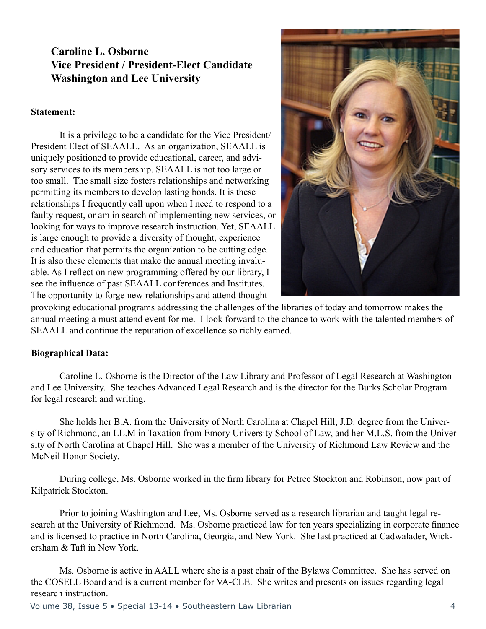# **Caroline L. Osborne Vice President / President-Elect Candidate Washington and Lee University**

#### **Statement:**

It is a privilege to be a candidate for the Vice President/ President Elect of SEAALL. As an organization, SEAALL is uniquely positioned to provide educational, career, and advisory services to its membership. SEAALL is not too large or too small. The small size fosters relationships and networking permitting its members to develop lasting bonds. It is these relationships I frequently call upon when I need to respond to a faulty request, or am in search of implementing new services, or looking for ways to improve research instruction. Yet, SEAALL is large enough to provide a diversity of thought, experience and education that permits the organization to be cutting edge. It is also these elements that make the annual meeting invaluable. As I reflect on new programming offered by our library, I see the influence of past SEAALL conferences and Institutes. The opportunity to forge new relationships and attend thought

provoking educational programs addressing the challenges of the libraries of today and tomorrow makes the annual meeting a must attend event for me. I look forward to the chance to work with the talented members of SEAALL and continue the reputation of excellence so richly earned.

#### **Biographical Data:**

Caroline L. Osborne is the Director of the Law Library and Professor of Legal Research at Washington and Lee University. She teaches Advanced Legal Research and is the director for the Burks Scholar Program for legal research and writing.

She holds her B.A. from the University of North Carolina at Chapel Hill, J.D. degree from the University of Richmond, an LL.M in Taxation from Emory University School of Law, and her M.L.S. from the University of North Carolina at Chapel Hill. She was a member of the University of Richmond Law Review and the McNeil Honor Society.

 During college, Ms. Osborne worked in the firm library for Petree Stockton and Robinson, now part of Kilpatrick Stockton.

Prior to joining Washington and Lee, Ms. Osborne served as a research librarian and taught legal research at the University of Richmond. Ms. Osborne practiced law for ten years specializing in corporate finance and is licensed to practice in North Carolina, Georgia, and New York. She last practiced at Cadwalader, Wickersham & Taft in New York.

Ms. Osborne is active in AALL where she is a past chair of the Bylaws Committee. She has served on the COSELL Board and is a current member for VA-CLE. She writes and presents on issues regarding legal research instruction.

Volume 38, Issue 5 • Special 13-14 • Southeastern Law Librarian 4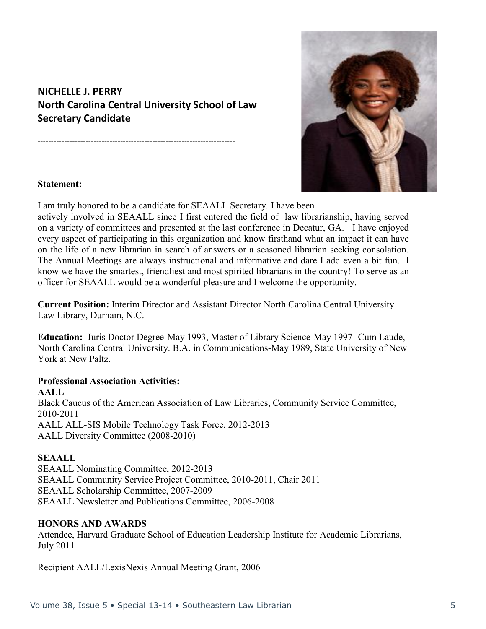# **NICHELLE J. PERRY North Carolina Central University School of Law Secretary Candidate**

--------------------------------------------------------------------------



#### **Statement:**

I am truly honored to be a candidate for SEAALL Secretary. I have been

actively involved in SEAALL since I first entered the field of law librarianship, having served on a variety of committees and presented at the last conference in Decatur, GA. I have enjoyed every aspect of participating in this organization and know firsthand what an impact it can have on the life of a new librarian in search of answers or a seasoned librarian seeking consolation. The Annual Meetings are always instructional and informative and dare I add even a bit fun. I know we have the smartest, friendliest and most spirited librarians in the country! To serve as an officer for SEAALL would be a wonderful pleasure and I welcome the opportunity.

**Current Position:** Interim Director and Assistant Director North Carolina Central University Law Library, Durham, N.C.

**Education:** Juris Doctor Degree-May 1993, Master of Library Science-May 1997- Cum Laude, North Carolina Central University. B.A. in Communications-May 1989, State University of New York at New Paltz.

#### **Professional Association Activities:**

**AALL** Black Caucus of the American Association of Law Libraries, Community Service Committee, 2010-2011 AALL ALL-SIS Mobile Technology Task Force, 2012-2013 AALL Diversity Committee (2008-2010)

#### **SEAALL**

SEAALL Nominating Committee, 2012-2013 SEAALL Community Service Project Committee, 2010-2011, Chair 2011 SEAALL Scholarship Committee, 2007-2009 SEAALL Newsletter and Publications Committee, 2006-2008

#### **HONORS AND AWARDS**

Attendee, Harvard Graduate School of Education Leadership Institute for Academic Librarians, July 2011

Recipient AALL/LexisNexis Annual Meeting Grant, 2006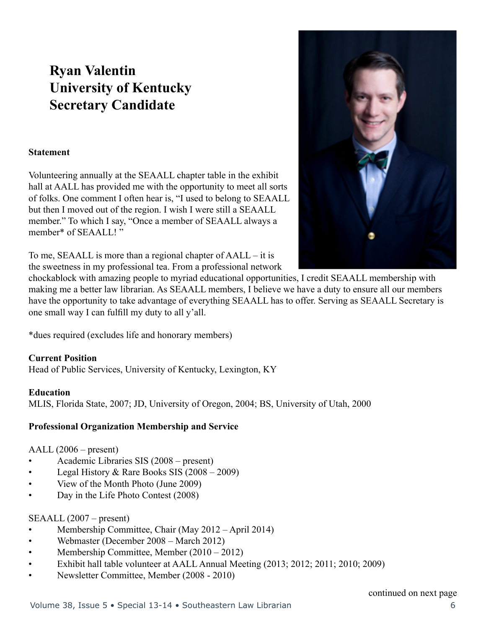# **Ryan Valentin University of Kentucky Secretary Candidate**

#### **Statement**

Volunteering annually at the SEAALL chapter table in the exhibit hall at AALL has provided me with the opportunity to meet all sorts of folks. One comment I often hear is, "I used to belong to SEAALL but then I moved out of the region. I wish I were still a SEAALL member." To which I say, "Once a member of SEAALL always a member\* of SEAALL! "

To me, SEAALL is more than a regional chapter of AALL – it is the sweetness in my professional tea. From a professional network



chockablock with amazing people to myriad educational opportunities, I credit SEAALL membership with making me a better law librarian. As SEAALL members, I believe we have a duty to ensure all our members have the opportunity to take advantage of everything SEAALL has to offer. Serving as SEAALL Secretary is one small way I can fulfill my duty to all y'all.

\*dues required (excludes life and honorary members)

#### **Current Position**

Head of Public Services, University of Kentucky, Lexington, KY

#### **Education**

MLIS, Florida State, 2007; JD, University of Oregon, 2004; BS, University of Utah, 2000

#### **Professional Organization Membership and Service**

AALL (2006 – present)

- Academic Libraries SIS (2008 present)
- Legal History & Rare Books SIS  $(2008 2009)$
- View of the Month Photo (June 2009)
- Day in the Life Photo Contest (2008)

#### SEAALL (2007 – present)

- Membership Committee, Chair (May 2012 April 2014)
- Webmaster (December 2008 March 2012)
- Membership Committee, Member (2010 2012)
- Exhibit hall table volunteer at AALL Annual Meeting (2013; 2012; 2011; 2010; 2009)
- Newsletter Committee, Member (2008 2010)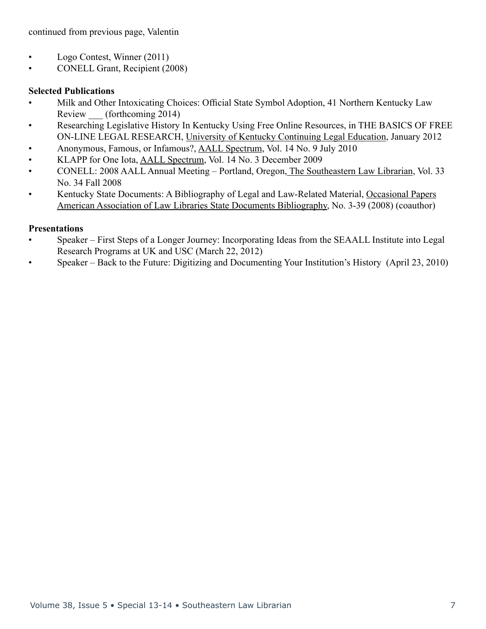continued from previous page, Valentin

- Logo Contest, Winner (2011)
- CONELL Grant, Recipient (2008)

#### **Selected Publications**

- Milk and Other Intoxicating Choices: Official State Symbol Adoption, 41 Northern Kentucky Law Review (forthcoming 2014)
- Researching Legislative History In Kentucky Using Free Online Resources, in THE BASICS OF FREE ON-LINE LEGAL RESEARCH, University of Kentucky Continuing Legal Education, January 2012
- Anonymous, Famous, or Infamous?, AALL Spectrum, Vol. 14 No. 9 July 2010
- KLAPP for One Iota, AALL Spectrum, Vol. 14 No. 3 December 2009
- CONELL: 2008 AALL Annual Meeting Portland, Oregon, The Southeastern Law Librarian, Vol. 33 No. 34 Fall 2008
- Kentucky State Documents: A Bibliography of Legal and Law-Related Material, Occasional Papers American Association of Law Libraries State Documents Bibliography, No. 3-39 (2008) (coauthor)

#### **Presentations**

- Speaker First Steps of a Longer Journey: Incorporating Ideas from the SEAALL Institute into Legal Research Programs at UK and USC (March 22, 2012)
- Speaker Back to the Future: Digitizing and Documenting Your Institution's History (April 23, 2010)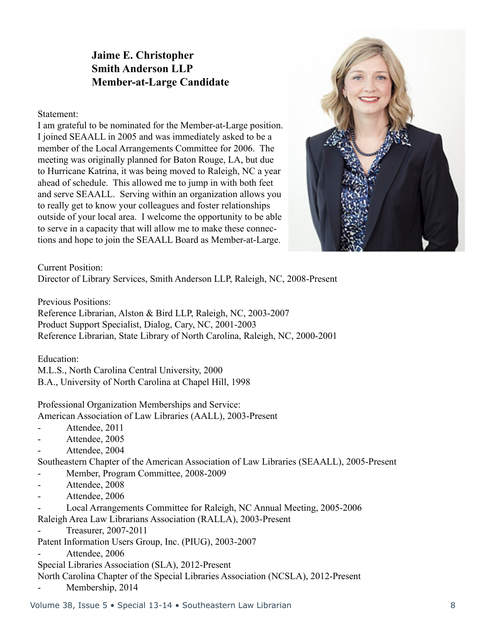# **Jaime E. Christopher Smith Anderson LLP Member-at-Large Candidate**

Statement:

I am grateful to be nominated for the Member-at-Large position. I joined SEAALL in 2005 and was immediately asked to be a member of the Local Arrangements Committee for 2006. The meeting was originally planned for Baton Rouge, LA, but due to Hurricane Katrina, it was being moved to Raleigh, NC a year ahead of schedule. This allowed me to jump in with both feet and serve SEAALL. Serving within an organization allows you to really get to know your colleagues and foster relationships outside of your local area. I welcome the opportunity to be able to serve in a capacity that will allow me to make these connections and hope to join the SEAALL Board as Member-at-Large.

Current Position:

Director of Library Services, Smith Anderson LLP, Raleigh, NC, 2008-Present

Previous Positions:

Reference Librarian, Alston & Bird LLP, Raleigh, NC, 2003-2007 Product Support Specialist, Dialog, Cary, NC, 2001-2003 Reference Librarian, State Library of North Carolina, Raleigh, NC, 2000-2001

Education:

M.L.S., North Carolina Central University, 2000

B.A., University of North Carolina at Chapel Hill, 1998

Professional Organization Memberships and Service:

American Association of Law Libraries (AALL), 2003-Present

- Attendee, 2011
- Attendee, 2005
- Attendee, 2004

Southeastern Chapter of the American Association of Law Libraries (SEAALL), 2005-Present

- Member, Program Committee, 2008-2009
- Attendee, 2008
- Attendee, 2006
- Local Arrangements Committee for Raleigh, NC Annual Meeting, 2005-2006

Raleigh Area Law Librarians Association (RALLA), 2003-Present

- Treasurer, 2007-2011

Patent Information Users Group, Inc. (PIUG), 2003-2007

Attendee, 2006

Special Libraries Association (SLA), 2012-Present

North Carolina Chapter of the Special Libraries Association (NCSLA), 2012-Present Membership, 2014

Volume 38, Issue 5 • Special 13-14 • Southeastern Law Librarian 8